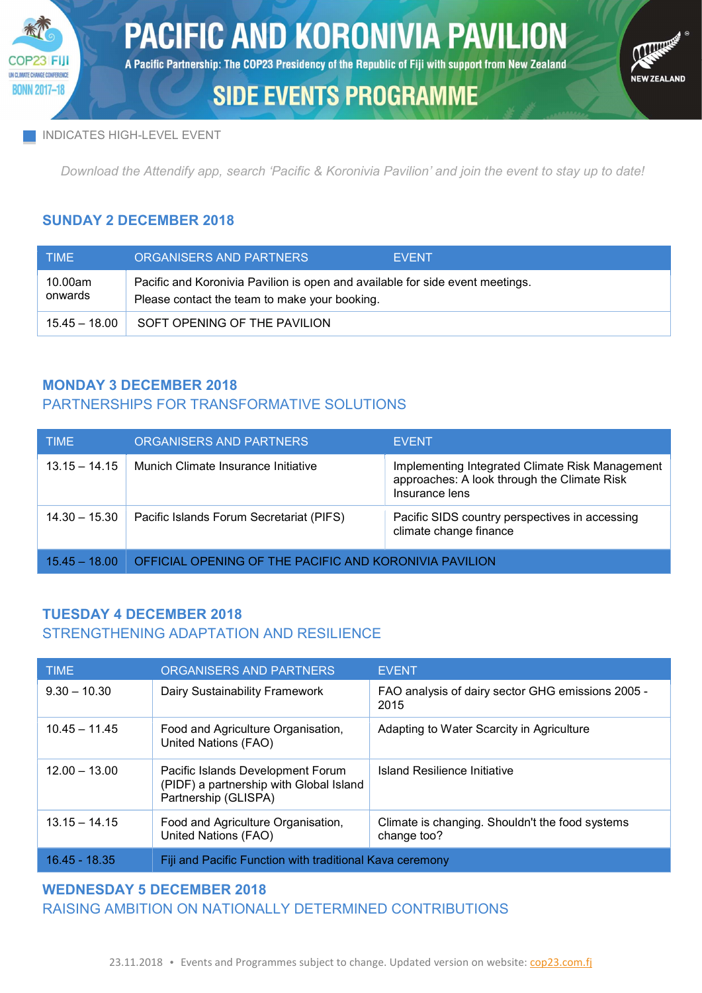

A Pacific Partnership: The COP23 Presidency of the Republic of Fiji with support from New Zealand

# **CONTRACTOR** .<br>NEW ZEALAND

# **SIDE EVENTS PROGRAMME**

#### INDICATES HIGH-LEVEL EVENT

Download the Attendify app, search 'Pacific & Koronivia Pavilion' and join the event to stay up to date!

### SUNDAY 2 DECEMBER 2018

| <b>TIME</b>        | ORGANISERS AND PARTNERS<br><b>EVENT</b>                                                                                        |
|--------------------|--------------------------------------------------------------------------------------------------------------------------------|
| 10.00am<br>onwards | Pacific and Koronivia Pavilion is open and available for side event meetings.<br>Please contact the team to make your booking. |
| $15.45 - 18.00$    | SOFT OPENING OF THE PAVILION                                                                                                   |

## MONDAY 3 DECEMBER 2018

## PARTNERSHIPS FOR TRANSFORMATIVE SOLUTIONS

| <b>TIME</b>     | ORGANISERS AND PARTNERS                                | <b>EVENT</b>                                                                                                     |
|-----------------|--------------------------------------------------------|------------------------------------------------------------------------------------------------------------------|
| $13.15 - 14.15$ | Munich Climate Insurance Initiative                    | Implementing Integrated Climate Risk Management<br>approaches: A look through the Climate Risk<br>Insurance lens |
| $14.30 - 15.30$ | Pacific Islands Forum Secretariat (PIFS)               | Pacific SIDS country perspectives in accessing<br>climate change finance                                         |
| $15.45 - 18.00$ | OFFICIAL OPENING OF THE PACIFIC AND KORONIVIA PAVILION |                                                                                                                  |

### TUESDAY 4 DECEMBER 2018 STRENGTHENING ADAPTATION AND RESILIENCE

| <b>TIME</b>     | ORGANISERS AND PARTNERS                                                                              | <b>EVENT</b>                                                   |
|-----------------|------------------------------------------------------------------------------------------------------|----------------------------------------------------------------|
| $9.30 - 10.30$  | Dairy Sustainability Framework                                                                       | FAO analysis of dairy sector GHG emissions 2005 -<br>2015      |
| $10.45 - 11.45$ | Food and Agriculture Organisation,<br>United Nations (FAO)                                           | Adapting to Water Scarcity in Agriculture                      |
| $12.00 - 13.00$ | Pacific Islands Development Forum<br>(PIDF) a partnership with Global Island<br>Partnership (GLISPA) | Island Resilience Initiative                                   |
| $13.15 - 14.15$ | Food and Agriculture Organisation,<br>United Nations (FAO)                                           | Climate is changing. Shouldn't the food systems<br>change too? |
| 16.45 - 18.35   | Fiji and Pacific Function with traditional Kava ceremony                                             |                                                                |

## WEDNESDAY 5 DECEMBER 2018 RAISING AMBITION ON NATIONALLY DETERMINED CONTRIBUTIONS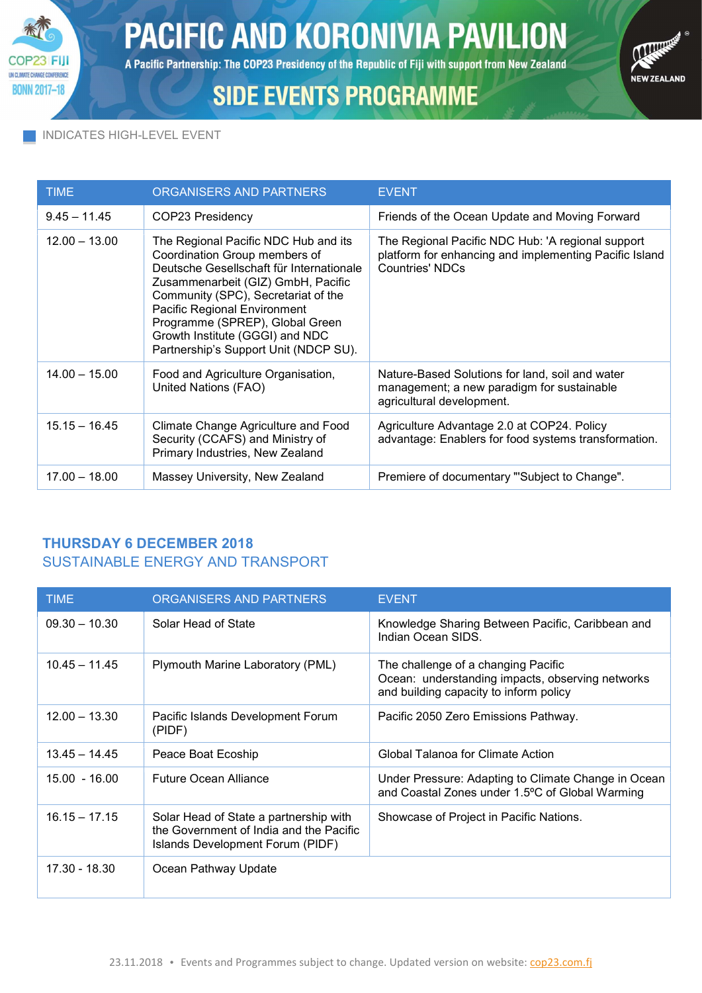

A Pacific Partnership: The COP23 Presidency of the Republic of Fiji with support from New Zealand

# **SIDE EVENTS PROGRAMME**



#### INDICATES HIGH-LEVEL EVENT

| <b>TIME</b>     | ORGANISERS AND PARTNERS                                                                                                                                                                                                                                                                                                                       | <b>EVENT</b>                                                                                                                          |
|-----------------|-----------------------------------------------------------------------------------------------------------------------------------------------------------------------------------------------------------------------------------------------------------------------------------------------------------------------------------------------|---------------------------------------------------------------------------------------------------------------------------------------|
| $9.45 - 11.45$  | COP23 Presidency                                                                                                                                                                                                                                                                                                                              | Friends of the Ocean Update and Moving Forward                                                                                        |
| $12.00 - 13.00$ | The Regional Pacific NDC Hub and its<br>Coordination Group members of<br>Deutsche Gesellschaft für Internationale<br>Zusammenarbeit (GIZ) GmbH, Pacific<br>Community (SPC), Secretariat of the<br>Pacific Regional Environment<br>Programme (SPREP), Global Green<br>Growth Institute (GGGI) and NDC<br>Partnership's Support Unit (NDCP SU). | The Regional Pacific NDC Hub: 'A regional support<br>platform for enhancing and implementing Pacific Island<br><b>Countries' NDCs</b> |
| $14.00 - 15.00$ | Food and Agriculture Organisation,<br>United Nations (FAO)                                                                                                                                                                                                                                                                                    | Nature-Based Solutions for land, soil and water<br>management; a new paradigm for sustainable<br>agricultural development.            |
| $15.15 - 16.45$ | Climate Change Agriculture and Food<br>Security (CCAFS) and Ministry of<br>Primary Industries, New Zealand                                                                                                                                                                                                                                    | Agriculture Advantage 2.0 at COP24. Policy<br>advantage: Enablers for food systems transformation.                                    |
| $17.00 - 18.00$ | Massey University, New Zealand                                                                                                                                                                                                                                                                                                                | Premiere of documentary "Subject to Change".                                                                                          |

## THURSDAY 6 DECEMBER 2018 SUSTAINABLE ENERGY AND TRANSPORT

| <b>TIME</b>     | ORGANISERS AND PARTNERS                                                                                               | <b>EVENT</b>                                                                                                                      |
|-----------------|-----------------------------------------------------------------------------------------------------------------------|-----------------------------------------------------------------------------------------------------------------------------------|
| $09.30 - 10.30$ | Solar Head of State                                                                                                   | Knowledge Sharing Between Pacific, Caribbean and<br>Indian Ocean SIDS.                                                            |
| $10.45 - 11.45$ | Plymouth Marine Laboratory (PML)                                                                                      | The challenge of a changing Pacific<br>Ocean: understanding impacts, observing networks<br>and building capacity to inform policy |
| $12.00 - 13.30$ | Pacific Islands Development Forum<br>(PIDF)                                                                           | Pacific 2050 Zero Emissions Pathway.                                                                                              |
| $13.45 - 14.45$ | Peace Boat Ecoship                                                                                                    | Global Talanoa for Climate Action                                                                                                 |
| $15.00 - 16.00$ | <b>Future Ocean Alliance</b>                                                                                          | Under Pressure: Adapting to Climate Change in Ocean<br>and Coastal Zones under 1.5°C of Global Warming                            |
| $16.15 - 17.15$ | Solar Head of State a partnership with<br>the Government of India and the Pacific<br>Islands Development Forum (PIDF) | Showcase of Project in Pacific Nations.                                                                                           |
| $17.30 - 18.30$ | Ocean Pathway Update                                                                                                  |                                                                                                                                   |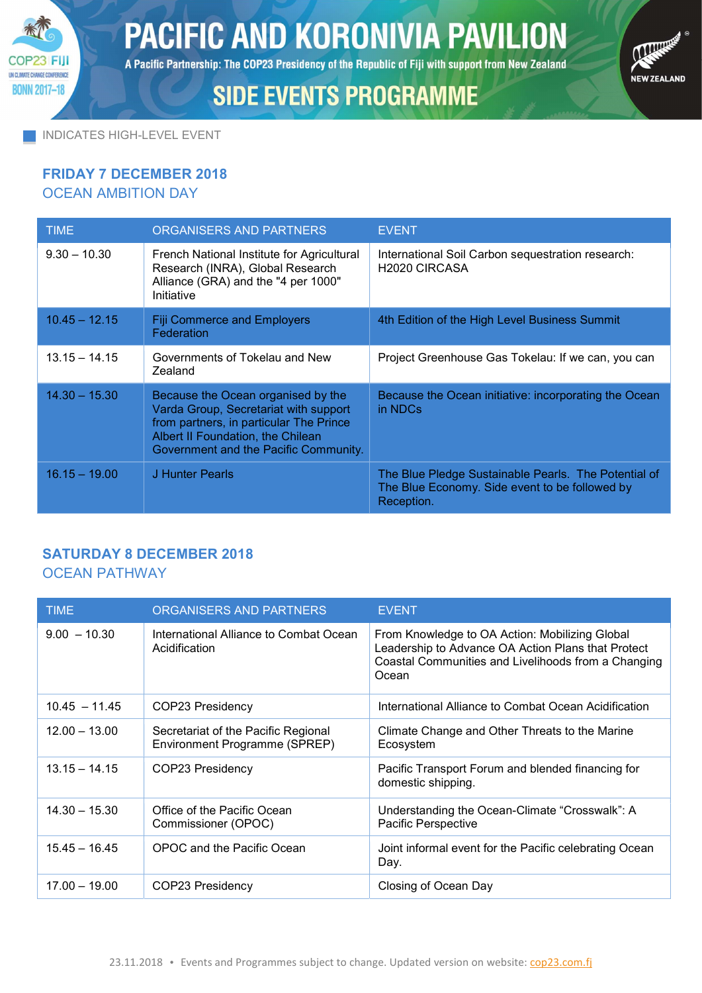

A Pacific Partnership: The COP23 Presidency of the Republic of Fiji with support from New Zealand

# **SIDE EVENTS PROGRAMME**



INDICATES HIGH-LEVEL EVENT

#### FRIDAY 7 DECEMBER 2018 OCEAN AMBITION DAY

| <b>TIME</b>     | ORGANISERS AND PARTNERS                                                                                                                                                                              | <b>EVENT</b>                                                                                                         |
|-----------------|------------------------------------------------------------------------------------------------------------------------------------------------------------------------------------------------------|----------------------------------------------------------------------------------------------------------------------|
| $9.30 - 10.30$  | French National Institute for Agricultural<br>Research (INRA), Global Research<br>Alliance (GRA) and the "4 per 1000"<br>Initiative                                                                  | International Soil Carbon sequestration research:<br>H <sub>2020</sub> CIRCASA                                       |
| $10.45 - 12.15$ | <b>Fiji Commerce and Employers</b><br>Federation                                                                                                                                                     | 4th Edition of the High Level Business Summit                                                                        |
| $13.15 - 14.15$ | Governments of Tokelau and New<br>Zealand                                                                                                                                                            | Project Greenhouse Gas Tokelau: If we can, you can                                                                   |
| $14.30 - 15.30$ | Because the Ocean organised by the<br>Varda Group, Secretariat with support<br>from partners, in particular The Prince<br>Albert II Foundation, the Chilean<br>Government and the Pacific Community. | Because the Ocean initiative: incorporating the Ocean<br>in NDCs                                                     |
| $16.15 - 19.00$ | J Hunter Pearls                                                                                                                                                                                      | The Blue Pledge Sustainable Pearls. The Potential of<br>The Blue Economy. Side event to be followed by<br>Reception. |

## SATURDAY 8 DECEMBER 2018

#### OCEAN PATHWAY

| <b>TIME</b>     | ORGANISERS AND PARTNERS                                              | <b>EVENT</b>                                                                                                                                                         |
|-----------------|----------------------------------------------------------------------|----------------------------------------------------------------------------------------------------------------------------------------------------------------------|
| $9.00 - 10.30$  | International Alliance to Combat Ocean<br>Acidification              | From Knowledge to OA Action: Mobilizing Global<br>Leadership to Advance OA Action Plans that Protect<br>Coastal Communities and Livelihoods from a Changing<br>Ocean |
| $10.45 - 11.45$ | COP23 Presidency                                                     | International Alliance to Combat Ocean Acidification                                                                                                                 |
| $12.00 - 13.00$ | Secretariat of the Pacific Regional<br>Environment Programme (SPREP) | Climate Change and Other Threats to the Marine<br>Ecosystem                                                                                                          |
| $13.15 - 14.15$ | COP23 Presidency                                                     | Pacific Transport Forum and blended financing for<br>domestic shipping.                                                                                              |
| $14.30 - 15.30$ | Office of the Pacific Ocean<br>Commissioner (OPOC)                   | Understanding the Ocean-Climate "Crosswalk": A<br>Pacific Perspective                                                                                                |
| $15.45 - 16.45$ | OPOC and the Pacific Ocean                                           | Joint informal event for the Pacific celebrating Ocean<br>Day.                                                                                                       |
| $17.00 - 19.00$ | COP23 Presidency                                                     | Closing of Ocean Day                                                                                                                                                 |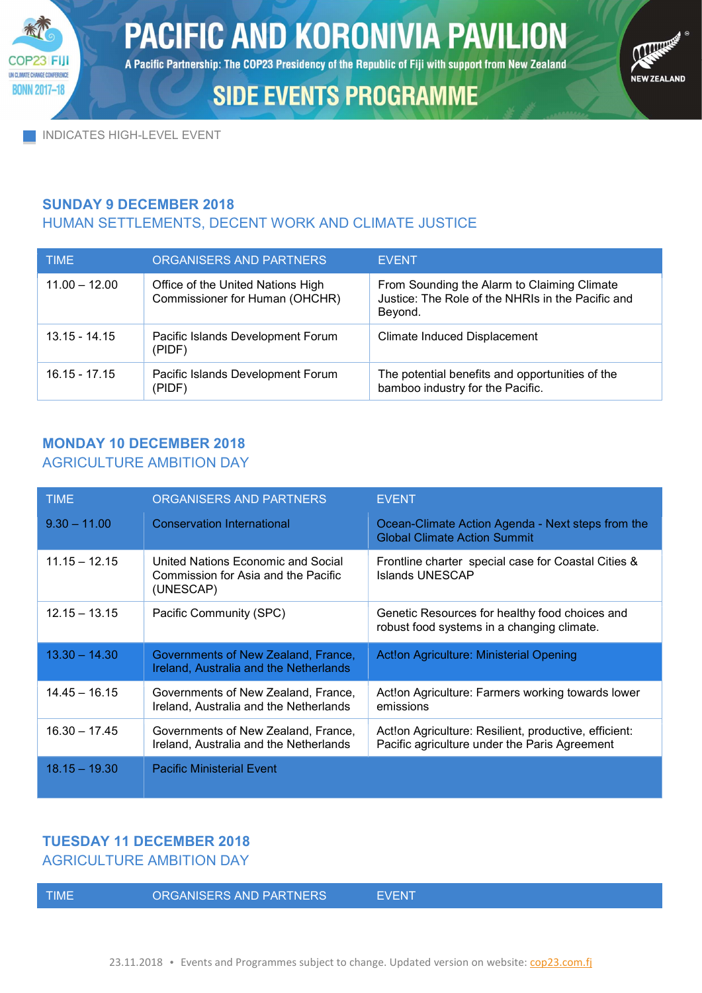

A Pacific Partnership: The COP23 Presidency of the Republic of Fiji with support from New Zealand

# **SIDE EVENTS PROGRAMME**



INDICATES HIGH-LEVEL EVENT

### SUNDAY 9 DECEMBER 2018

## HUMAN SETTLEMENTS, DECENT WORK AND CLIMATE JUSTICE

| <b>TIME</b>     | ORGANISERS AND PARTNERS                                             | <b>EVENT</b>                                                                                                |
|-----------------|---------------------------------------------------------------------|-------------------------------------------------------------------------------------------------------------|
| $11.00 - 12.00$ | Office of the United Nations High<br>Commissioner for Human (OHCHR) | From Sounding the Alarm to Claiming Climate<br>Justice: The Role of the NHRIs in the Pacific and<br>Beyond. |
| $13.15 - 14.15$ | Pacific Islands Development Forum<br>(PIDF)                         | Climate Induced Displacement                                                                                |
| $16.15 - 17.15$ | Pacific Islands Development Forum<br>(PIDF)                         | The potential benefits and opportunities of the<br>bamboo industry for the Pacific.                         |

## MONDAY 10 DECEMBER 2018 AGRICULTURE AMBITION DAY

| <b>TIME</b>     | ORGANISERS AND PARTNERS                                                                | <b>EVENT</b>                                                                                           |
|-----------------|----------------------------------------------------------------------------------------|--------------------------------------------------------------------------------------------------------|
| $9.30 - 11.00$  | <b>Conservation International</b>                                                      | Ocean-Climate Action Agenda - Next steps from the<br><b>Global Climate Action Summit</b>               |
| $11.15 - 12.15$ | United Nations Economic and Social<br>Commission for Asia and the Pacific<br>(UNESCAP) | Frontline charter special case for Coastal Cities &<br><b>Islands UNESCAP</b>                          |
| $12.15 - 13.15$ | Pacific Community (SPC)                                                                | Genetic Resources for healthy food choices and<br>robust food systems in a changing climate.           |
| $13.30 - 14.30$ | Governments of New Zealand, France,<br>Ireland, Australia and the Netherlands          | Act!on Agriculture: Ministerial Opening                                                                |
| $14.45 - 16.15$ | Governments of New Zealand, France,<br>Ireland, Australia and the Netherlands          | Act!on Agriculture: Farmers working towards lower<br>emissions                                         |
| $16.30 - 17.45$ | Governments of New Zealand, France,<br>Ireland, Australia and the Netherlands          | Act!on Agriculture: Resilient, productive, efficient:<br>Pacific agriculture under the Paris Agreement |
| $18.15 - 19.30$ | <b>Pacific Ministerial Event</b>                                                       |                                                                                                        |

## TUESDAY 11 DECEMBER 2018

AGRICULTURE AMBITION DAY

ORGANISERS AND PARTNERS EVENT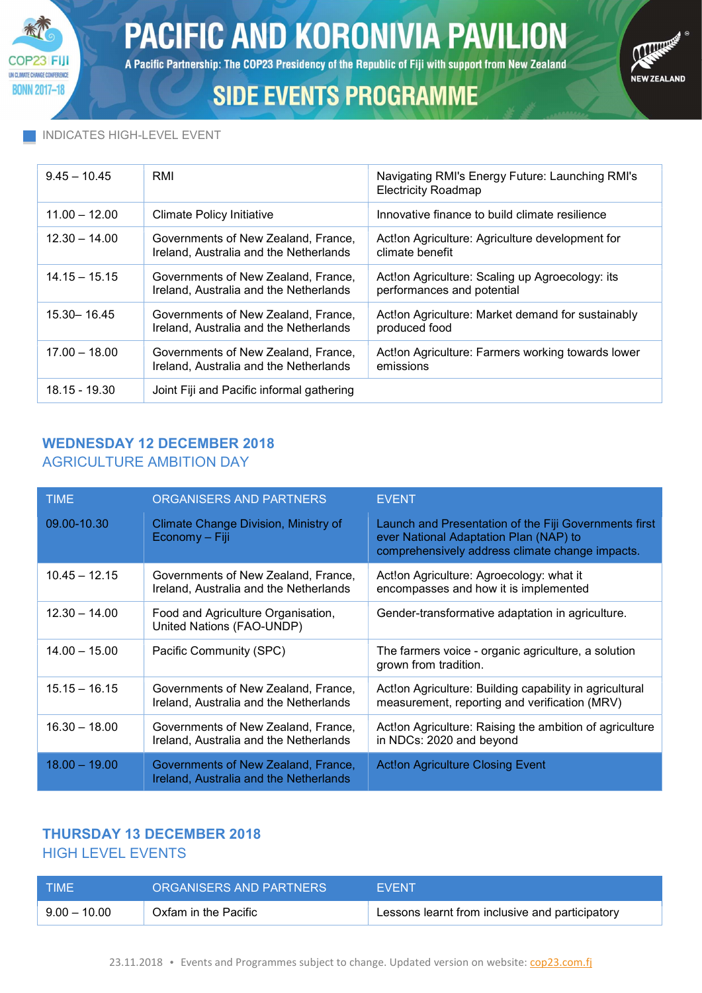

A Pacific Partnership: The COP23 Presidency of the Republic of Fiji with support from New Zealand



# **SIDE EVENTS PROGRAMME**

#### INDICATES HIGH-LEVEL EVENT

| $9.45 - 10.45$  | RMI                                                                           | Navigating RMI's Energy Future: Launching RMI's<br><b>Electricity Roadmap</b> |
|-----------------|-------------------------------------------------------------------------------|-------------------------------------------------------------------------------|
| $11.00 - 12.00$ | <b>Climate Policy Initiative</b>                                              | Innovative finance to build climate resilience                                |
| $12.30 - 14.00$ | Governments of New Zealand, France,<br>Ireland, Australia and the Netherlands | Act!on Agriculture: Agriculture development for<br>climate benefit            |
| $14.15 - 15.15$ | Governments of New Zealand, France,<br>Ireland, Australia and the Netherlands | Act!on Agriculture: Scaling up Agroecology: its<br>performances and potential |
| $15.30 - 16.45$ | Governments of New Zealand, France,<br>Ireland, Australia and the Netherlands | Act!on Agriculture: Market demand for sustainably<br>produced food            |
| $17.00 - 18.00$ | Governments of New Zealand, France,<br>Ireland, Australia and the Netherlands | Act!on Agriculture: Farmers working towards lower<br>emissions                |
| 18.15 - 19.30   | Joint Fiji and Pacific informal gathering                                     |                                                                               |

### WEDNESDAY 12 DECEMBER 2018 AGRICULTURE AMBITION DAY

| <b>TIME</b>     | ORGANISERS AND PARTNERS                                                       | <b>EVENT</b>                                                                                                                                       |
|-----------------|-------------------------------------------------------------------------------|----------------------------------------------------------------------------------------------------------------------------------------------------|
| 09.00-10.30     | Climate Change Division, Ministry of<br>Economy - Fiji                        | Launch and Presentation of the Fiji Governments first<br>ever National Adaptation Plan (NAP) to<br>comprehensively address climate change impacts. |
| $10.45 - 12.15$ | Governments of New Zealand, France,<br>Ireland, Australia and the Netherlands | Act!on Agriculture: Agroecology: what it<br>encompasses and how it is implemented                                                                  |
| $12.30 - 14.00$ | Food and Agriculture Organisation,<br>United Nations (FAO-UNDP)               | Gender-transformative adaptation in agriculture.                                                                                                   |
| $14.00 - 15.00$ | Pacific Community (SPC)                                                       | The farmers voice - organic agriculture, a solution<br>grown from tradition.                                                                       |
| $15.15 - 16.15$ | Governments of New Zealand, France,<br>Ireland, Australia and the Netherlands | Act!on Agriculture: Building capability in agricultural<br>measurement, reporting and verification (MRV)                                           |
| $16.30 - 18.00$ | Governments of New Zealand, France,<br>Ireland, Australia and the Netherlands | Act!on Agriculture: Raising the ambition of agriculture<br>in NDCs: 2020 and beyond                                                                |
| $18.00 - 19.00$ | Governments of New Zealand, France,<br>Ireland, Australia and the Netherlands | <b>Act!on Agriculture Closing Event</b>                                                                                                            |

## THURSDAY 13 DECEMBER 2018 HIGH LEVEL EVENTS

| <b>TIME</b>  | ORGANISERS AND PARTNERS | <b>FVFNT</b>                                    |
|--------------|-------------------------|-------------------------------------------------|
| $9.00-10.00$ | Oxfam in the Pacific    | Lessons learnt from inclusive and participatory |